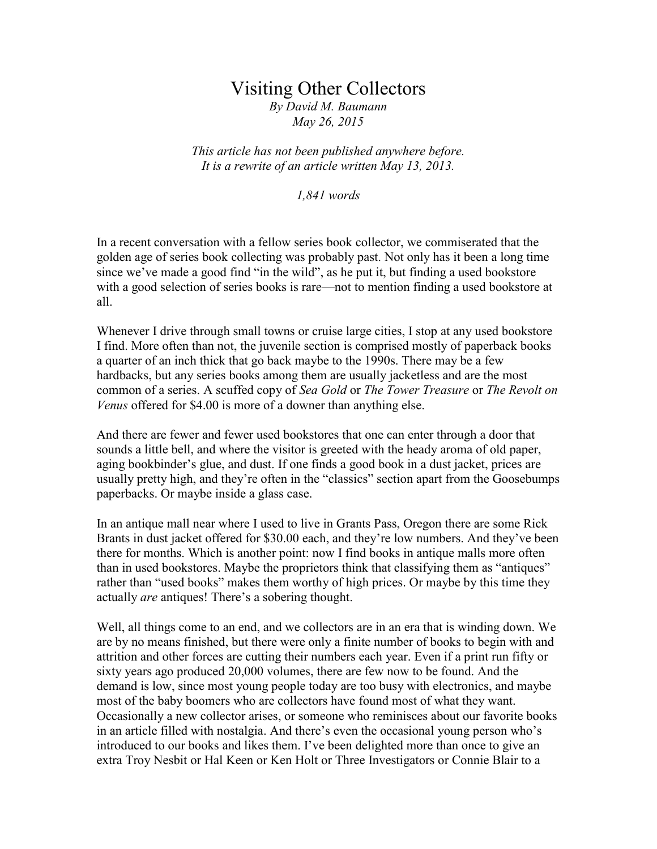## Visiting Other Collectors

*By David M. Baumann May 26, 2015*

*This article has not been published anywhere before. It is a rewrite of an article written May 13, 2013.*

*1,841 words*

In a recent conversation with a fellow series book collector, we commiserated that the golden age of series book collecting was probably past. Not only has it been a long time since we've made a good find "in the wild", as he put it, but finding a used bookstore with a good selection of series books is rare—not to mention finding a used bookstore at all.

Whenever I drive through small towns or cruise large cities, I stop at any used bookstore I find. More often than not, the juvenile section is comprised mostly of paperback books a quarter of an inch thick that go back maybe to the 1990s. There may be a few hardbacks, but any series books among them are usually jacketless and are the most common of a series. A scuffed copy of *Sea Gold* or *The Tower Treasure* or *The Revolt on Venus* offered for \$4.00 is more of a downer than anything else.

And there are fewer and fewer used bookstores that one can enter through a door that sounds a little bell, and where the visitor is greeted with the heady aroma of old paper, aging bookbinder's glue, and dust. If one finds a good book in a dust jacket, prices are usually pretty high, and they're often in the "classics" section apart from the Goosebumps paperbacks. Or maybe inside a glass case.

In an antique mall near where I used to live in Grants Pass, Oregon there are some Rick Brants in dust jacket offered for \$30.00 each, and they're low numbers. And they've been there for months. Which is another point: now I find books in antique malls more often than in used bookstores. Maybe the proprietors think that classifying them as "antiques" rather than "used books" makes them worthy of high prices. Or maybe by this time they actually *are* antiques! There's a sobering thought.

Well, all things come to an end, and we collectors are in an era that is winding down. We are by no means finished, but there were only a finite number of books to begin with and attrition and other forces are cutting their numbers each year. Even if a print run fifty or sixty years ago produced 20,000 volumes, there are few now to be found. And the demand is low, since most young people today are too busy with electronics, and maybe most of the baby boomers who are collectors have found most of what they want. Occasionally a new collector arises, or someone who reminisces about our favorite books in an article filled with nostalgia. And there's even the occasional young person who's introduced to our books and likes them. I've been delighted more than once to give an extra Troy Nesbit or Hal Keen or Ken Holt or Three Investigators or Connie Blair to a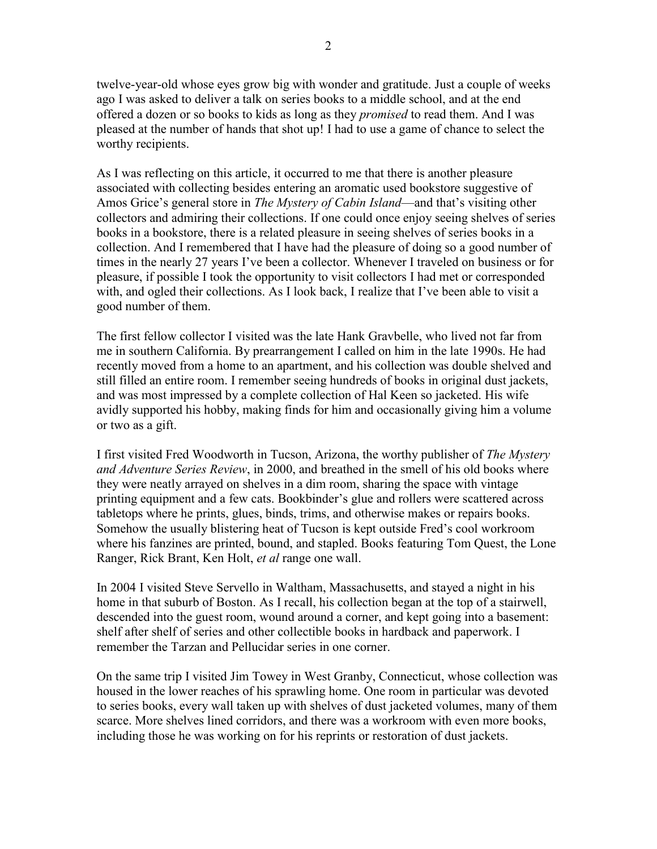twelve-year-old whose eyes grow big with wonder and gratitude. Just a couple of weeks ago I was asked to deliver a talk on series books to a middle school, and at the end offered a dozen or so books to kids as long as they *promised* to read them. And I was pleased at the number of hands that shot up! I had to use a game of chance to select the worthy recipients.

As I was reflecting on this article, it occurred to me that there is another pleasure associated with collecting besides entering an aromatic used bookstore suggestive of Amos Grice's general store in *The Mystery of Cabin Island*—and that's visiting other collectors and admiring their collections. If one could once enjoy seeing shelves of series books in a bookstore, there is a related pleasure in seeing shelves of series books in a collection. And I remembered that I have had the pleasure of doing so a good number of times in the nearly 27 years I've been a collector. Whenever I traveled on business or for pleasure, if possible I took the opportunity to visit collectors I had met or corresponded with, and ogled their collections. As I look back, I realize that I've been able to visit a good number of them.

The first fellow collector I visited was the late Hank Gravbelle, who lived not far from me in southern California. By prearrangement I called on him in the late 1990s. He had recently moved from a home to an apartment, and his collection was double shelved and still filled an entire room. I remember seeing hundreds of books in original dust jackets, and was most impressed by a complete collection of Hal Keen so jacketed. His wife avidly supported his hobby, making finds for him and occasionally giving him a volume or two as a gift.

I first visited Fred Woodworth in Tucson, Arizona, the worthy publisher of *The Mystery and Adventure Series Review*, in 2000, and breathed in the smell of his old books where they were neatly arrayed on shelves in a dim room, sharing the space with vintage printing equipment and a few cats. Bookbinder's glue and rollers were scattered across tabletops where he prints, glues, binds, trims, and otherwise makes or repairs books. Somehow the usually blistering heat of Tucson is kept outside Fred's cool workroom where his fanzines are printed, bound, and stapled. Books featuring Tom Quest, the Lone Ranger, Rick Brant, Ken Holt, *et al* range one wall.

In 2004 I visited Steve Servello in Waltham, Massachusetts, and stayed a night in his home in that suburb of Boston. As I recall, his collection began at the top of a stairwell, descended into the guest room, wound around a corner, and kept going into a basement: shelf after shelf of series and other collectible books in hardback and paperwork. I remember the Tarzan and Pellucidar series in one corner.

On the same trip I visited Jim Towey in West Granby, Connecticut, whose collection was housed in the lower reaches of his sprawling home. One room in particular was devoted to series books, every wall taken up with shelves of dust jacketed volumes, many of them scarce. More shelves lined corridors, and there was a workroom with even more books, including those he was working on for his reprints or restoration of dust jackets.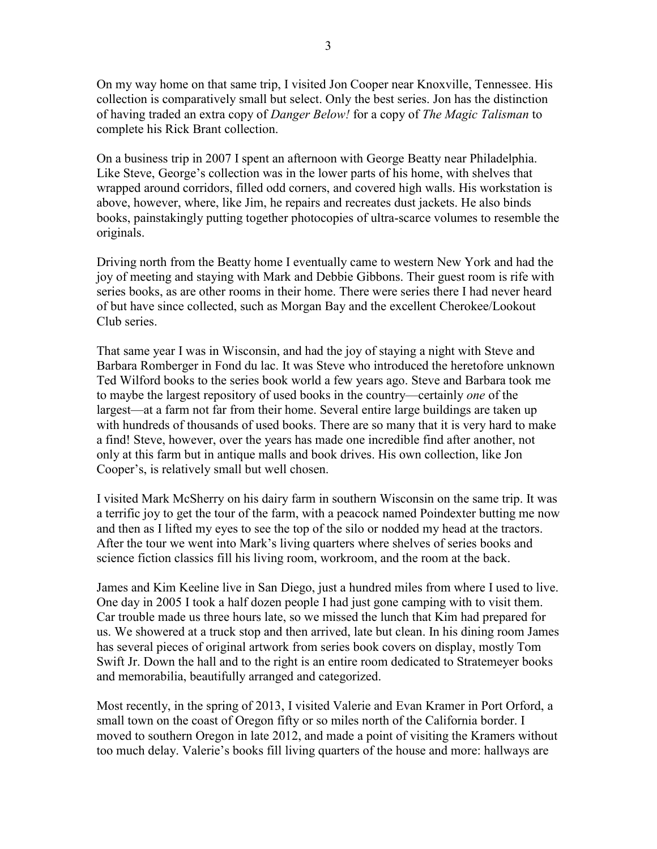On my way home on that same trip, I visited Jon Cooper near Knoxville, Tennessee. His collection is comparatively small but select. Only the best series. Jon has the distinction of having traded an extra copy of *Danger Below!* for a copy of *The Magic Talisman* to complete his Rick Brant collection.

On a business trip in 2007 I spent an afternoon with George Beatty near Philadelphia. Like Steve, George's collection was in the lower parts of his home, with shelves that wrapped around corridors, filled odd corners, and covered high walls. His workstation is above, however, where, like Jim, he repairs and recreates dust jackets. He also binds books, painstakingly putting together photocopies of ultra-scarce volumes to resemble the originals.

Driving north from the Beatty home I eventually came to western New York and had the joy of meeting and staying with Mark and Debbie Gibbons. Their guest room is rife with series books, as are other rooms in their home. There were series there I had never heard of but have since collected, such as Morgan Bay and the excellent Cherokee/Lookout Club series.

That same year I was in Wisconsin, and had the joy of staying a night with Steve and Barbara Romberger in Fond du lac. It was Steve who introduced the heretofore unknown Ted Wilford books to the series book world a few years ago. Steve and Barbara took me to maybe the largest repository of used books in the country—certainly *one* of the largest—at a farm not far from their home. Several entire large buildings are taken up with hundreds of thousands of used books. There are so many that it is very hard to make a find! Steve, however, over the years has made one incredible find after another, not only at this farm but in antique malls and book drives. His own collection, like Jon Cooper's, is relatively small but well chosen.

I visited Mark McSherry on his dairy farm in southern Wisconsin on the same trip. It was a terrific joy to get the tour of the farm, with a peacock named Poindexter butting me now and then as I lifted my eyes to see the top of the silo or nodded my head at the tractors. After the tour we went into Mark's living quarters where shelves of series books and science fiction classics fill his living room, workroom, and the room at the back.

James and Kim Keeline live in San Diego, just a hundred miles from where I used to live. One day in 2005 I took a half dozen people I had just gone camping with to visit them. Car trouble made us three hours late, so we missed the lunch that Kim had prepared for us. We showered at a truck stop and then arrived, late but clean. In his dining room James has several pieces of original artwork from series book covers on display, mostly Tom Swift Jr. Down the hall and to the right is an entire room dedicated to Stratemeyer books and memorabilia, beautifully arranged and categorized.

Most recently, in the spring of 2013, I visited Valerie and Evan Kramer in Port Orford, a small town on the coast of Oregon fifty or so miles north of the California border. I moved to southern Oregon in late 2012, and made a point of visiting the Kramers without too much delay. Valerie's books fill living quarters of the house and more: hallways are